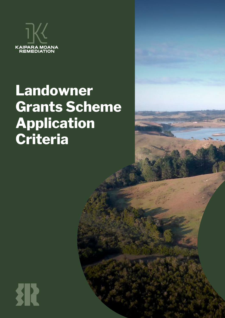

# **Landowner Grants Scheme Application Criteria**

犯 **1** Landowner Grants Scheme Application Criteria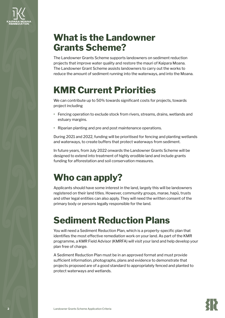

# **What is the Landowner Grants Scheme?**

The Landowner Grants Scheme supports landowners on sediment reduction projects that improve water quality and restore the mauri of Kaipara Moana. The Landowner Grant Scheme assists landowners to carry out the works to reduce the amount of sediment running into the waterways, and into the Moana.

# **KMR Current Priorities**

We can contribute up to 50% towards significant costs for projects, towards project including

- **•** Fencing operation to exclude stock from rivers, streams, drains, wetlands and estuary margins.
- **•** Riparian planting and pre and post maintenance operations.

During 2021 and 2022, funding will be prioritised for fencing and planting wetlands and waterways, to create buffers that protect waterways from sediment.

In future years, from July 2022 onwards the Landowner Grants Scheme will be designed to extend into treatment of highly erodible land and include grants funding for afforestation and soil conservation measures.

# **Who can apply?**

Applicants should have some interest in the land, largely this will be landowners registered on their land titles. However, community groups, marae, hapū, trusts and other legal entities can also apply. They will need the written consent of the primary body or persons legally responsible for the land.

# **Sediment Reduction Plans**

You will need a Sediment Reduction Plan, which is a property-specific plan that identifies the most effective remediation work on your land. As part of the KMR programme, a KMR Field Advisor (KMRFA) will visit your land and help develop your plan free of charge.

A Sediment Reduction Plan must be in an approved format and must provide sufficient information, photographs, plans and evidence to demonstrate that projects proposed are of a good standard to appropriately fenced and planted to protect waterways and wetlands.

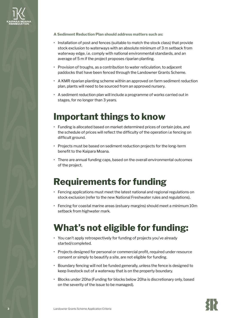

**A Sediment Reduction Plan should address matters such as:**

- **•** Installation of post and fences (suitable to match the stock class) that provide stock exclusion to waterways with an absolute minimum of 3 m setback from waterway edge, i.e. comply with national environmental standards, and an average of 5 m if the project proposes riparian planting.
- **•** Provision of troughs, as a contribution to water reticulation, to adjacent paddocks that have been fenced through the Landowner Grants Scheme.
- **•** A KMR riparian planting scheme within an approved on farm sediment reduction plan, plants will need to be sourced from an approved nursery.
- **•** A sediment reduction plan will include a programme of works carried out in stages, for no longer than 3 years.

#### **Important things to know**

- **•** Funding is allocated based on market determined prices of certain jobs, and the schedule of prices will reflect the difficulty of the operation i.e fencing on difficult ground.
- **•** Projects must be based on sediment reduction projects for the long-term benefit to the Kaipara Moana.
- **•** There are annual funding caps, based on the overall environmental outcomes of the project.

#### **Requirements for funding**

- **•** Fencing applications must meet the latest national and regional regulations on stock exclusion (refer to the new National Freshwater rules and regulations).
- **•** Fencing for coastal marine areas (estuary margins) should meet a minimum 10m setback from highwater mark.

### **What's not eligible for funding:**

- **•** You can't apply retrospectively for funding of projects you've already started/completed.
- **•** Projects designed for personal or commercial profit, required under resource consent or simply to beautify a site, are not eligible for funding.
- **•** Boundary fencing will not be funded generally, unless the fence is designed to keep livestock out of a waterway that is on the property boundary.
- **•** Blocks under 20ha (Funding for blocks below 20ha is discretionary only, based on the severity of the issue to be managed).

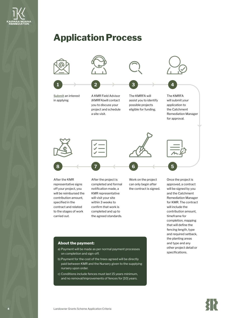

### **Application Process**



off your project, you will be reimbursed the contribution amount, specified in the contract and related to the stages of work carried out.

notification made, a KMR representative will visit your site within 3 weeks to confirm that work is completed and up to the agreed standards. the contract is signed.

#### will be signed by you and the Catchment Remediation Manager for KMR. The contract will include the contribution amount, timeframe for completion, mapping that will define the fencing length, type and required setback, the planting areas and type and any other project detail or specifications.

#### **About the payment:**

- a) Payment will be made as per normal payment processes on completion and sign-off.
- b) Payment for the cost of the trees agreed will be directly paid between KMR and the Nursery given to the supplying nursery upon order.
- c) Conditions include fences must last 15 years minimum, and no removal/improvements of fences for [10] years.